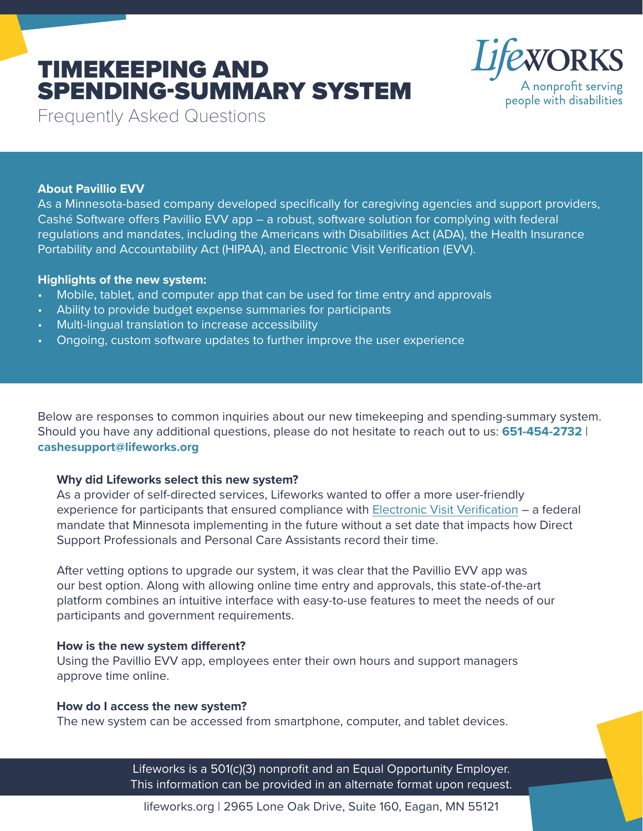# TIMEKEEPING AND SPENDING-SUMMARY SYSTEM



Frequently Asked Questions

## **About Pavillio EVV**

As a Minnesota-based company developed specifically for caregiving agencies and support providers, Cashé Software offers Pavillio EVV app – a robust, software solution for complying with federal regulations and mandates, including the Americans with Disabilities Act (ADA), the Health Insurance Portability and Accountability Act (HIPAA), and Electronic Visit Verification (EVV).

## **Highlights of the new system:**

- Mobile, tablet, and computer app that can be used for time entry and approvals
- Ability to provide budget expense summaries for participants
- Multi-lingual translation to increase accessibility
- Ongoing, custom software updates to further improve the user experience

Below are responses to common inquiries about our new timekeeping and spending-summary system. Should you have any additional questions, please do not hesitate to reach out to us: **651-454-2732** | **[cashesupport@lifeworks.org](mailto:cashesupport%40lifeworks.org?subject=)**

## **Why did Lifeworks select this new system?**

As a provider of self-directed services, Lifeworks wanted to offer a more user-friendly experience for participants that ensured compliance with [Electronic Visit Verification](https://mn.gov/dhs/partners-and-providers/news-initiatives-reports-workgroups/long-term-services-and-supports/evv/) – a federal mandate that Minnesota implementing in the future without a set date that impacts how Direct Support Professionals and Personal Care Assistants record their time.

After vetting options to upgrade our system, it was clear that the Pavillio EVV app was our best option. Along with allowing online time entry and approvals, this state-of-the-art platform combines an intuitive interface with easy-to-use features to meet the needs of our participants and government requirements.

## **How is the new system different?**

Using the Pavillio EVV app, employees enter their own hours and support managers approve time online.

#### **How do I access the new system?**

The new system can be accessed from smartphone, computer, and tablet devices.

Lifeworks is a 501(c)(3) nonprofit and an Equal Opportunity Employer. This information can be provided in an alternate format upon request.

lifeworks.org | 2965 Lone Oak Drive, Suite 160, Eagan, MN 55121